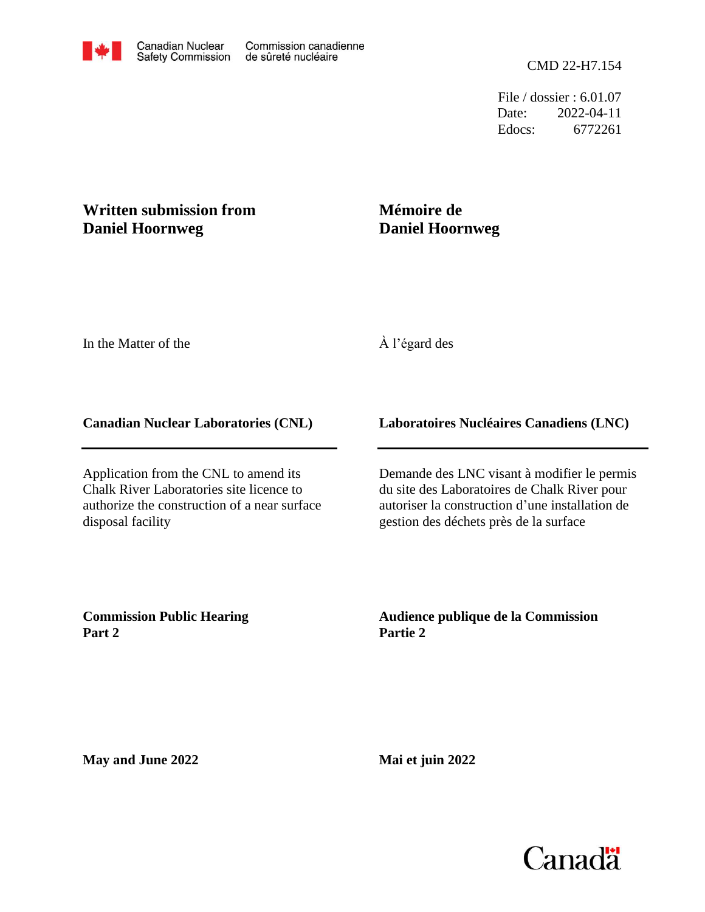File / dossier : 6.01.07 Date: 2022-04-11 Edocs: 6772261

## **Written submission from Daniel Hoornweg**

# **Mémoire de Daniel Hoornweg**

In the Matter of the

## À l'égard des

#### **Canadian Nuclear Laboratories (CNL)**

Application from the CNL to amend its Chalk River Laboratories site licence to authorize the construction of a near surface disposal facility

### **Laboratoires Nucléaires Canadiens (LNC)**

Demande des LNC visant à modifier le permis du site des Laboratoires de Chalk River pour autoriser la construction d'une installation de gestion des déchets près de la surface

**Commission Public Hearing Part 2**

**Audience publique de la Commission Partie 2**

**May and June 2022**

**Mai et juin 2022**